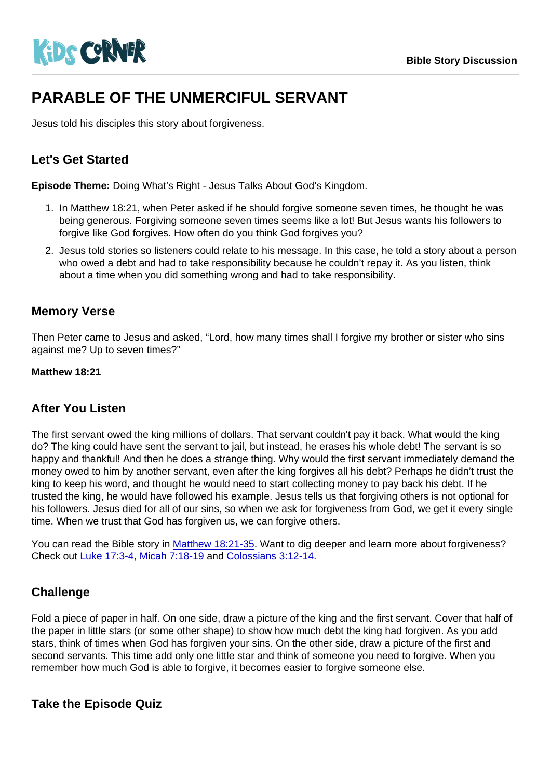# PARABLE OF THE UNMERCIFUL SERVANT

Jesus told his disciples this story about forgiveness.

## Let's Get Started

Episode Theme: Doing What's Right - Jesus Talks About God's Kingdom.

- 1. In Matthew 18:21, when Peter asked if he should forgive someone seven times, he thought he was being generous. Forgiving someone seven times seems like a lot! But Jesus wants his followers to forgive like God forgives. How often do you think God forgives you?
- 2. Jesus told stories so listeners could relate to his message. In this case, he told a story about a person who owed a debt and had to take responsibility because he couldn't repay it. As you listen, think about a time when you did something wrong and had to take responsibility.

#### Memory Verse

Then Peter came to Jesus and asked, "Lord, how many times shall I forgive my brother or sister who sins against me? Up to seven times?"

Matthew 18:21

#### After You Listen

The first servant owed the king millions of dollars. That servant couldn't pay it back. What would the king do? The king could have sent the servant to jail, but instead, he erases his whole debt! The servant is so happy and thankful! And then he does a strange thing. Why would the first servant immediately demand the money owed to him by another servant, even after the king forgives all his debt? Perhaps he didn't trust the king to keep his word, and thought he would need to start collecting money to pay back his debt. If he trusted the king, he would have followed his example. Jesus tells us that forgiving others is not optional for his followers. Jesus died for all of our sins, so when we ask for forgiveness from God, we get it every single time. When we trust that God has forgiven us, we can forgive others.

You can read the Bible story in [Matthew 18:21-35.](https://www.biblegateway.com/passage/?search=Matthew+18:21-35&version=NIV) Want to dig deeper and learn more about forgiveness? Check out [Luke 17:3-4,](https://www.biblegateway.com/passage/?search=Luke17:3-4&version=NIV) [Micah 7:18-19 a](https://www.biblegateway.com/passage/?search=Micah+7:18-19&version=NIV)nd [Colossians 3:12-14.](https://www.biblegateway.com/passage/?search=Colossians+3&version=NIV) 

### **Challenge**

Fold a piece of paper in half. On one side, draw a picture of the king and the first servant. Cover that half of the paper in little stars (or some other shape) to show how much debt the king had forgiven. As you add stars, think of times when God has forgiven your sins. On the other side, draw a picture of the first and second servants. This time add only one little star and think of someone you need to forgive. When you remember how much God is able to forgive, it becomes easier to forgive someone else.

Take the Episode Quiz